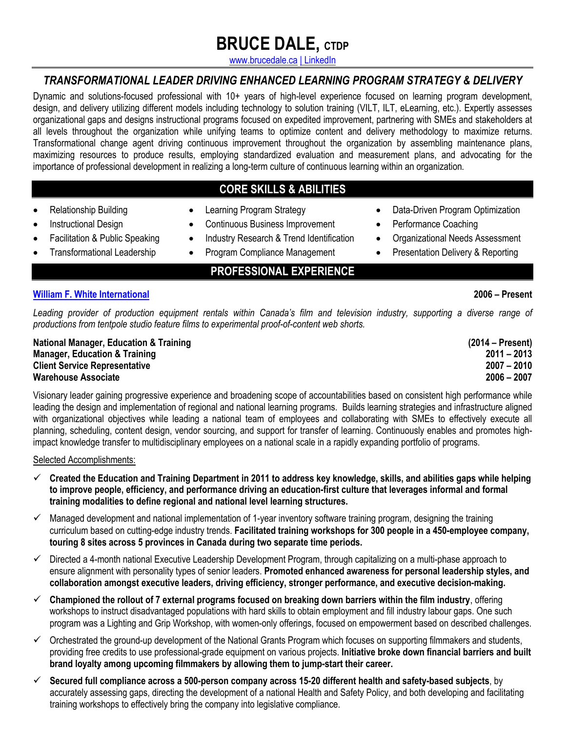# **BRUCE DALE, CTDP**

www.brucedale.ca | LinkedIn

### *TRANSFORMATIONAL LEADER DRIVING ENHANCED LEARNING PROGRAM STRATEGY & DELIVERY*

Dynamic and solutions-focused professional with 10+ years of high-level experience focused on learning program development, design, and delivery utilizing different models including technology to solution training (VILT, ILT, eLearning, etc.). Expertly assesses organizational gaps and designs instructional programs focused on expedited improvement, partnering with SMEs and stakeholders at all levels throughout the organization while unifying teams to optimize content and delivery methodology to maximize returns. Transformational change agent driving continuous improvement throughout the organization by assembling maintenance plans, maximizing resources to produce results, employing standardized evaluation and measurement plans, and advocating for the importance of professional development in realizing a long-term culture of continuous learning within an organization.

### **CORE SKILLS & ABILITIES**

- Relationship Building
- Instructional Design
- Facilitation & Public Speaking
- Transformational Leadership
- Continuous Business Improvement

• Learning Program Strategy

- Industry Research & Trend Identification
- Program Compliance Management
	- **PROFESSIONAL EXPERIENCE**

#### **William F. White International 2006 – Present**

*Leading provider of production equipment rentals within Canada's film and television industry, supporting a diverse range of productions from tentpole studio feature films to experimental proof-of-content web shorts.* 

**National Manager, Education & Training (2014 – Present) Manager, Education & Training 2011 – 2013 Client Service Representative 2007 – 2010 Warehouse Associate 2006 – 2007** 

Visionary leader gaining progressive experience and broadening scope of accountabilities based on consistent high performance while leading the design and implementation of regional and national learning programs. Builds learning strategies and infrastructure aligned with organizational objectives while leading a national team of employees and collaborating with SMEs to effectively execute all planning, scheduling, content design, vendor sourcing, and support for transfer of learning. Continuously enables and promotes highimpact knowledge transfer to multidisciplinary employees on a national scale in a rapidly expanding portfolio of programs.

Selected Accomplishments:

- ü **Created the Education and Training Department in 2011 to address key knowledge, skills, and abilities gaps while helping to improve people, efficiency, and performance driving an education-first culture that leverages informal and formal training modalities to define regional and national level learning structures.**
- $\checkmark$  Managed development and national implementation of 1-year inventory software training program, designing the training curriculum based on cutting-edge industry trends. **Facilitated training workshops for 300 people in a 450-employee company, touring 8 sites across 5 provinces in Canada during two separate time periods.**
- $\checkmark$  Directed a 4-month national Executive Leadership Development Program, through capitalizing on a multi-phase approach to ensure alignment with personality types of senior leaders. **Promoted enhanced awareness for personal leadership styles, and collaboration amongst executive leaders, driving efficiency, stronger performance, and executive decision-making.**
- $\checkmark$  Championed the rollout of 7 external programs focused on breaking down barriers within the film industry, offering workshops to instruct disadvantaged populations with hard skills to obtain employment and fill industry labour gaps. One such program was a Lighting and Grip Workshop, with women-only offerings, focused on empowerment based on described challenges.
- $\checkmark$  Orchestrated the ground-up development of the National Grants Program which focuses on supporting filmmakers and students, providing free credits to use professional-grade equipment on various projects. **Initiative broke down financial barriers and built brand loyalty among upcoming filmmakers by allowing them to jump-start their career.**
- ü **Secured full compliance across a 500-person company across 15-20 different health and safety-based subjects**, by accurately assessing gaps, directing the development of a national Health and Safety Policy, and both developing and facilitating training workshops to effectively bring the company into legislative compliance.
- Performance Coaching
	- Organizational Needs Assessment

• Data-Driven Program Optimization

• Presentation Delivery & Reporting